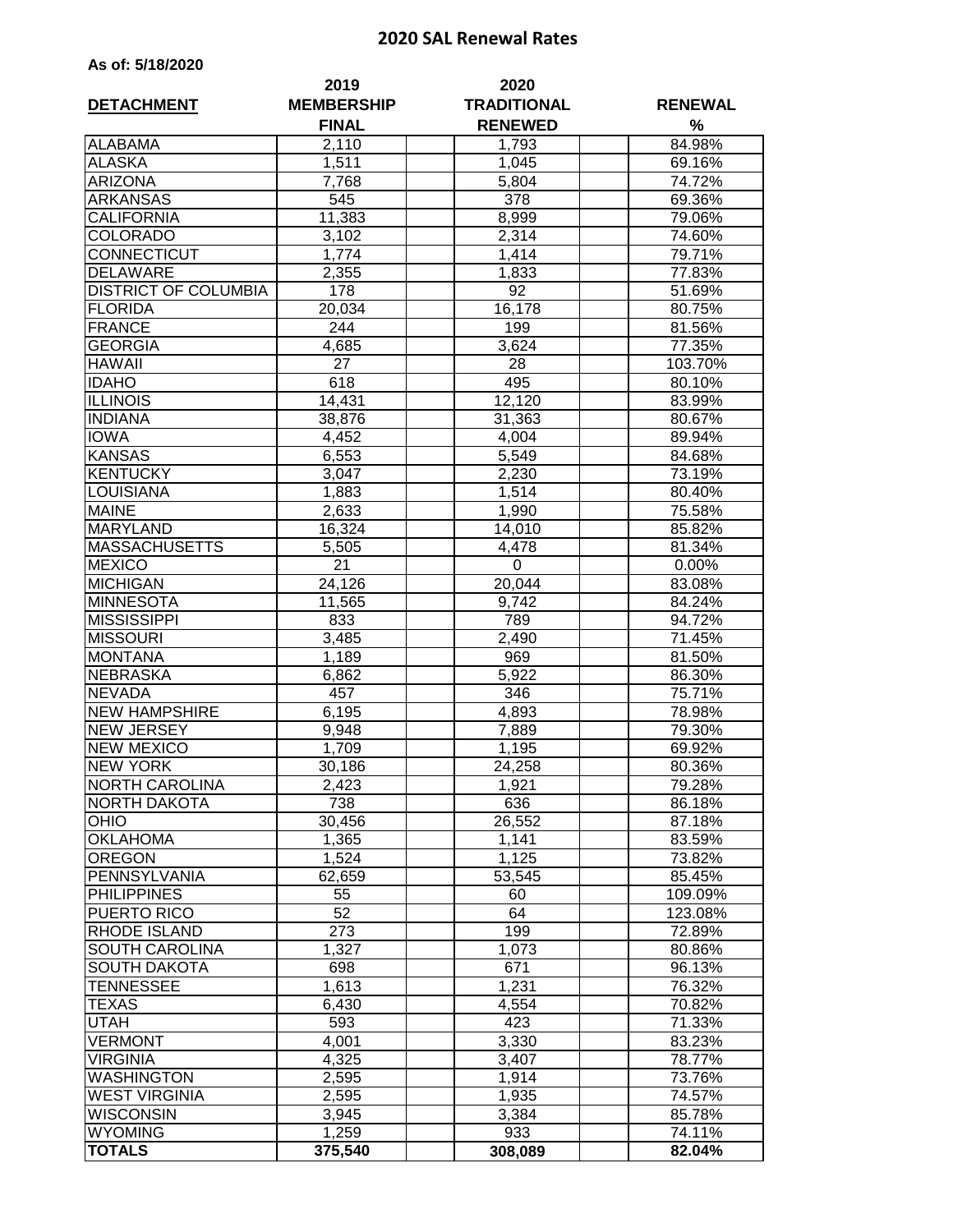## **2020 SAL Renewal Rates**

| As of: 5/18/2020 |  |  |  |  |  |
|------------------|--|--|--|--|--|
|------------------|--|--|--|--|--|

| <b>DETACHMENT</b>           | 2019<br><b>MEMBERSHIP</b> | 2020<br><b>TRADITIONAL</b> | <b>RENEWAL</b><br>% |  |
|-----------------------------|---------------------------|----------------------------|---------------------|--|
|                             | <b>FINAL</b>              | <b>RENEWED</b>             |                     |  |
| <b>ALABAMA</b>              | 2,110                     | 1,793                      | 84.98%              |  |
| <b>ALASKA</b>               | 1,511                     | 1,045                      | 69.16%              |  |
| <b>ARIZONA</b>              | 7,768                     | 5,804                      | 74.72%              |  |
| <b>ARKANSAS</b>             | 545                       | 378                        | 69.36%              |  |
| <b>CALIFORNIA</b>           | 11,383                    | 8,999                      | 79.06%              |  |
| <b>COLORADO</b>             | 3,102                     | 2,314                      | 74.60%              |  |
| CONNECTICUT                 | 1,774                     | 1,414                      | 79.71%              |  |
| <b>DELAWARE</b>             | 2,355                     | 1,833                      | 77.83%              |  |
| <b>DISTRICT OF COLUMBIA</b> | 178                       | 92                         | 51.69%              |  |
| <b>FLORIDA</b>              | 20,034                    | 16,178                     | 80.75%              |  |
| <b>FRANCE</b>               | 244                       | 199                        | 81.56%              |  |
| <b>GEORGIA</b>              | 4,685                     | 3,624                      | 77.35%              |  |
| <b>HAWAII</b>               | 27                        | 28                         | 103.70%             |  |
| <b>IDAHO</b>                | 618                       | 495                        | 80.10%              |  |
| <b>ILLINOIS</b>             | 14,431                    | 12,120                     | 83.99%              |  |
| <b>INDIANA</b>              | 38,876                    | 31,363                     | 80.67%              |  |
| <b>IOWA</b>                 | 4,452                     | 4,004                      | 89.94%              |  |
| <b>KANSAS</b>               | 6,553                     | 5,549                      | 84.68%              |  |
| <b>KENTUCKY</b>             | 3,047                     | 2,230                      | 73.19%              |  |
| <b>LOUISIANA</b>            | 1,883                     | 1,514                      | 80.40%              |  |
| <b>MAINE</b>                | 2,633                     | 1,990                      | 75.58%              |  |
| <b>MARYLAND</b>             | 16,324                    | 14,010                     | 85.82%              |  |
| <b>MASSACHUSETTS</b>        | 5,505                     | 4,478                      | 81.34%              |  |
| <b>MEXICO</b>               | $\overline{2}1$           | 0                          | 0.00%               |  |
| <b>MICHIGAN</b>             | 24,126                    | 20,044                     | 83.08%              |  |
| <b>MINNESOTA</b>            | 11,565                    | 9,742                      | 84.24%              |  |
| <b>MISSISSIPPI</b>          | 833                       | 789                        | 94.72%              |  |
| <b>MISSOURI</b>             | 3,485                     | $\overline{2,}490$         | 71.45%              |  |
| <b>MONTANA</b>              | 1,189                     | 969                        | 81.50%              |  |
| <b>NEBRASKA</b>             | 6,862                     | 5,922                      | 86.30%              |  |
| <b>NEVADA</b>               | 457                       | 346                        | 75.71%              |  |
| <b>NEW HAMPSHIRE</b>        | 6,195                     | 4,893                      | 78.98%              |  |
| <b>NEW JERSEY</b>           | 9,948                     | 7,889                      | 79.30%              |  |
| <b>NEW MEXICO</b>           | 1,709                     | 1,195                      | 69.92%              |  |
| <b>NEW YORK</b>             | 30,186                    | 24,258                     | 80.36%              |  |
| <b>NORTH CAROLINA</b>       | 2,423                     | 1,921                      | 79.28%              |  |
| NORTH DAKOTA                | 738                       | 636                        | 86.18%              |  |
| <b>OHIO</b>                 | 30,456                    | 26,552                     | 87.18%              |  |
| <b>OKLAHOMA</b>             | 1,365                     | 1,141                      | 83.59%              |  |
| <b>OREGON</b>               | 1,524                     | 1,125                      | 73.82%              |  |
| PENNSYLVANIA                | 62,659                    | 53,545                     | 85.45%              |  |
| <b>PHILIPPINES</b>          | 55                        | 60                         | 109.09%             |  |
| PUERTO RICO                 | 52                        | 64                         | 123.08%             |  |
| <b>RHODE ISLAND</b>         | 273                       | 199                        | 72.89%              |  |
| SOUTH CAROLINA              | 1,327                     | 1,073                      | 80.86%              |  |
| <b>SOUTH DAKOTA</b>         | 698                       | 671                        | 96.13%              |  |
| TENNESSEE                   | 1,613                     | 1,231                      | 76.32%              |  |
| TEXAS                       | 6,430                     | 4,554                      | 70.82%              |  |
| UTAH                        | 593                       | 423                        | 71.33%              |  |
| <b>VERMONT</b>              | 4,001                     | 3,330                      | 83.23%              |  |
| <b>VIRGINIA</b>             | 4,325                     | 3,407                      | 78.77%              |  |
| <b>WASHINGTON</b>           | 2,595                     | 1,914                      | 73.76%              |  |
| <b>WEST VIRGINIA</b>        | 2,595                     | 1,935                      | 74.57%              |  |
| <b>WISCONSIN</b>            | 3,945                     | 3,384                      | 85.78%              |  |
| <b>WYOMING</b>              | 1,259                     | 933                        | 74.11%              |  |
| <b>TOTALS</b>               | 375,540                   | 308,089                    | 82.04%              |  |